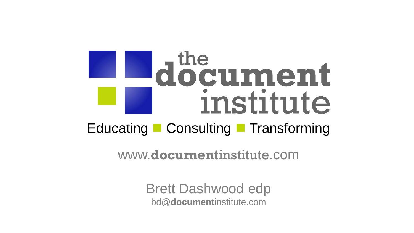# document institute Educating Consulting Transforming

www.**document**institute.com

Brett Dashwood edp bd@**document**institute.com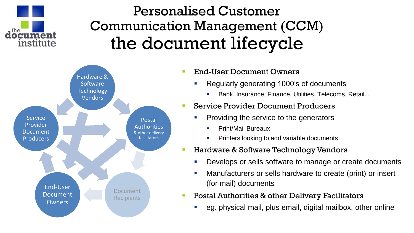

# Personalised Customer Communication Management (CCM) the document lifecycle



#### End-User Document Owners

- Regularly generating 1000's of documents
	- **Bank, Insurance, Finance, Utilities, Telecoms, Retail...**

### Service Provider Document Producers

- **Providing the service to the generators** 
	- Print/Mail Bureaux
	- **Printers looking to add variable documents**

### Hardware & Software Technology Vendors

- **•** Develops or sells software to manage or create documents
- Manufacturers or sells hardware to create (print) or insert (for mail) documents
- Postal Authorities & other Delivery Facilitators
	- eg. physical mail, plus email, digital mailbox, other online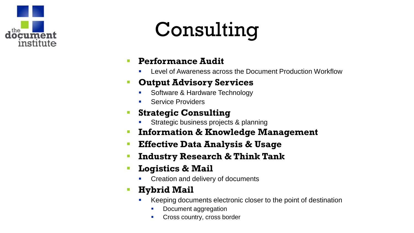

# Consulting

- **Performance Audit** 
	- Level of Awareness across the Document Production Workflow

### **Output Advisory Services**

- Software & Hardware Technology
- Service Providers

### **Strategic Consulting**

- Strategic business projects & planning
- **Information & Knowledge Management**
- **Effective Data Analysis & Usage**
- **Industry Research & Think Tank**
- **Logistics & Mail** 
	- Creation and delivery of documents

## **Hybrid Mail**

- Keeping documents electronic closer to the point of destination
	- Document aggregation
	- **Cross country, cross border**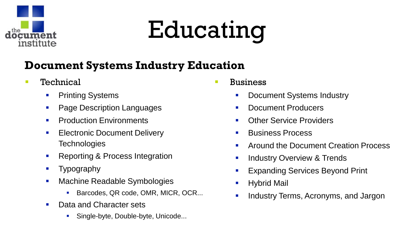

# Educating

# **Document Systems Industry Education**

- **Technical** 
	- **•** Printing Systems
	- **Page Description Languages**
	- **Production Environments**
	- **Electronic Document Delivery Technologies**
	- Reporting & Process Integration
	- **Typography**
	- **Machine Readable Symbologies** 
		- Barcodes, QR code, OMR, MICR, OCR...
	- Data and Character sets
		- Single-byte, Double-byte, Unicode...
- Business
	- **-** Document Systems Industry
	- **Document Producers**
	- **Other Service Providers**
	- **Business Process**
	- Around the Document Creation Process
	- **Industry Overview & Trends**
	- Expanding Services Beyond Print
	- Hybrid Mail
	- Industry Terms, Acronyms, and Jargon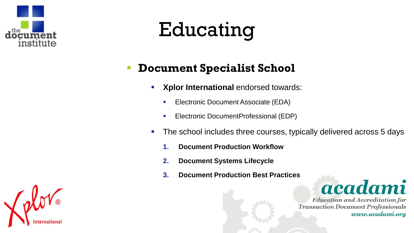

# Educating

# **Document Specialist School**

- **Xplor International endorsed towards:** 
	- **Electronic Document Associate (EDA)**
	- **Electronic DocumentProfessional (EDP)**
- The school includes three courses, typically delivered across 5 days
	- **1. Document Production Workflow**
	- **2. Document Systems Lifecycle**
	- **3. Document Production Best Practices**



**Education and Accreditation for Transaction Document Professionals** www.acadami.org

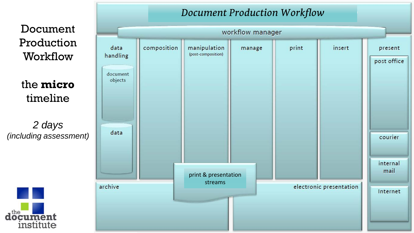Document Production Workflow

the **micro** timeline

*2 days (including assessment)* 



#### *Document Production Workflow* workflow manager data composition insert manipulation print present manage (post-composition) handling post office document objects data courier internal mail print & presentation streams archive electronic presentation Internet *acadami*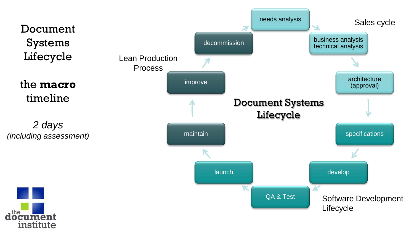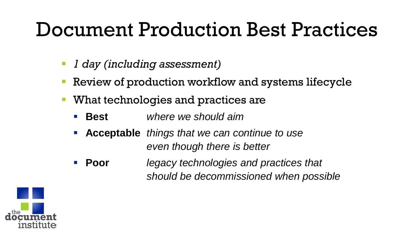# Document Production Best Practices

- *1 day (including assessment)*
- Review of production workflow and systems lifecycle
- What technologies and practices are
	- **Best** *where we should aim*
	- **Acceptable** *things that we can continue to use even though there is better*
	- **Poor** *legacy technologies and practices that should be decommissioned when possible*

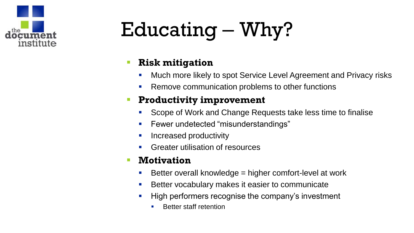

# Educating – Why?

## **Risk mitigation**

- **Much more likely to spot Service Level Agreement and Privacy risks**
- **Remove communication problems to other functions**

## **Productivity improvement**

- Scope of Work and Change Requests take less time to finalise
- **Fewer undetected "misunderstandings"**
- **Increased productivity**
- Greater utilisation of resources

### **Motivation**

- Better overall knowledge  $=$  higher comfort-level at work
- **Better vocabulary makes it easier to communicate**
- High performers recognise the company's investment
	- **Better staff retention**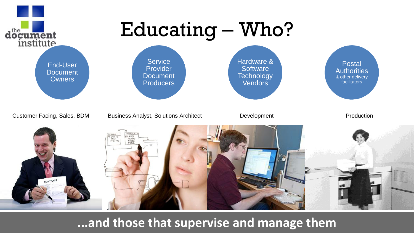

**...and those that supervise and manage them**